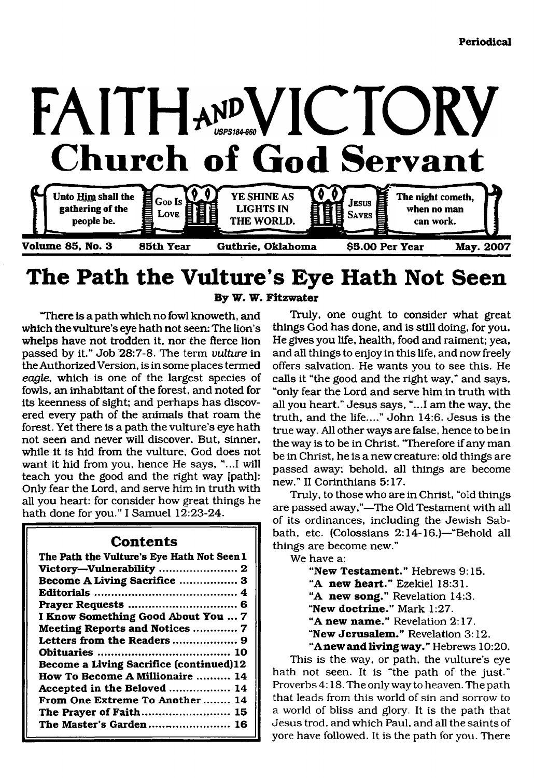

## **The Path the Vulture's Eye Hath Not Seen By W. W. Fitzwater**

"There is a path which no fowl knoweth, and which the vulture's eye hath not seen: The lion's whelps have not trodden it, nor the fierce lion passed by it." Job 28:7-8. The term *vulture* in the Authorized Version, is in some places termed *eagle,* which is one of the largest species of fowls, an inhabitant of the forest, and noted for its keenness of sight; and perhaps has discovered every path of the animals that roam the forest. Yet there is a path the vulture's eye hath not seen and never will discover. But, sinner, while it is hid from the vulture, God does not want it hid from you, hence He says, "...I will teach you the good and the right way [path]: Only fear the Lord, and serve him in truth with all you heart: for consider how great things he hath done for you." I Samuel 12:23-24.

### **Contents**

| The Path the Vulture's Eye Hath Not Seen I |
|--------------------------------------------|
|                                            |
| Victory-Vulnerability  2                   |
| Become A Living Sacrifice  3               |
|                                            |
|                                            |
| I Know Something Good About You  7         |
| Meeting Reports and Notices  7             |
|                                            |
|                                            |
| Become a Living Sacrifice (continued)12    |
| How To Become A Millionaire  14            |
| Accepted in the Beloved  14                |
| From One Extreme To Another 14             |
| The Prayer of Faith 15                     |
| The Master's Garden 16                     |
|                                            |

**(**

Truly, one ought to consider what great things God has done, and is still doing, for you. He gives you life, health, food and raiment; yea, and all things to enjoy in this life, and now freely offers salvation. He wants you to see this. He calls it "the good and the right way," and says, "only fear the Lord and serve him in truth with all you heart." Jesus says, "...I am the way, the truth, and the life...." John 14:6. Jesus is the true way. All other ways are false, hence to be in the way is to be in Christ. "Therefore if any man be in Christ, he is a new creature: old things are passed away; behold, all things are become new." II Corinthians 5:17.

Truly, to those who are in Christ, "old things are passed away,"—The Old Testament with all of its ordinances, including the Jewish Sabbath, etc. (Colossians 2:14-16.)—"Behold all things are become new."

We have a:

**"New Testament.''** Hebrews 9:15.

**"A new heart."** Ezekiel 18:31.

**"A new song."** Revelation 14:3.

**"New doctrine."** Mark 1:27.

**"A new name."** Revelation 2:17.

**"New Jerusalem."** Revelation 3:12.

**"A new and living way."** Hebrews 10:20.

This is the way, or path, the vulture's eye hath not seen. It is "the path of the just." Proverbs 4:18. The only way to heaven. The path that leads from this world of sin and sorrow to a world of bliss and glory. It is the path that Jesus trod, and which Paul, and all the saints of yore have followed. It is the path for you. There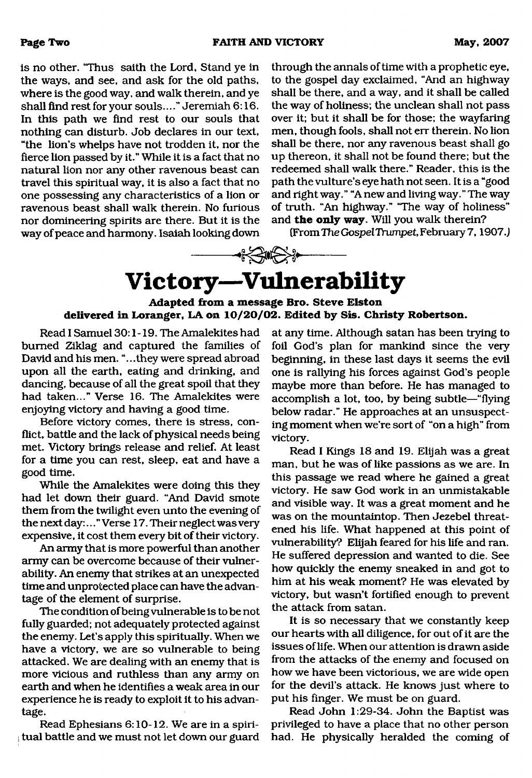is no other. "Thus saith the Lord, Stand ye in the ways, and see, and ask for the old paths, where is the good way, and walk therein, and ye shall find rest for your souls...." Jeremiah 6:16. In this path we find rest to our souls that nothing can disturb. Job declares in our text, "the lion's whelps have not trodden it, nor the fierce lion passed by it." While it is a fact that no natural lion nor any other ravenous beast can travel this spiritual way, it is also a fact that no one possessing any characteristics of a lion or ravenous beast shall walk therein. No furious nor domineering spirits are there. But it is the way of peace and harmony. Isaiah looking down

through the annals of time with a prophetic eye, to the gospel day exclaimed, "And an highway shall be there, and a way, and it shall be called the way of holiness; the unclean shall not pass over it; but it shall be for those; the wayfaring men, though fools, shall not err therein. No lion shall be there, nor any ravenous beast shall go up thereon, it shall not be found there; but the redeemed shall walk there." Reader, this is the path the vulture's eye hath not seen. It is a "good and right way." "A new and living way. " The way of truth. "An highway." "The way of holiness" and **the only way.** Will you walk therein?

(From The Gospel Trumpet, February 7, 1907.)

# $\begin{picture}(120,111){\line(1,0){156}}\end{picture}$ **Victory—Vulnerability**

#### <span id="page-1-0"></span>**Adapted from a message Bro. Steve Elston delivered in Loranger, LA on 10/20/02. Edited by Sis. Christy Robertson.**

Read I Samuel 30:1-19. The Amalekites had burned Ziklag and captured the families of David and his men. "...they were spread abroad upon all the earth, eating and drinking, and dancing, because of all the great spoil that they had taken..." Verse 16. The Amalekites were enjoying victory and having a good time.

Before victory comes, there is stress, conflict, battle and the lack of physical needs being met. Victory brings release and relief. At least for a time you can rest, sleep, eat and have a good time.

While the Amalekites were doing this they had let down their guard. "And David smote them from the twilight even unto the evening of the next day:..." Verse 17. Their neglect was very expensive, it cost them every bit of their victory.

An army that is more powerful than another army can be overcome because of their vulnerability. An enemy that strikes at an unexpected time and unprotected place can have the advantage of the element of surprise.

The condition of being vulnerable is to be not fully guarded; not adequately protected against the enemy. Let's apply this spiritually. When we have a victory, we are so vulnerable to being attacked. We are dealing with an enemy that is more vicious and ruthless than any army on earth and when he identifies a weak area in our experience he is ready to exploit it to his advantage.

Read Ephesians 6:10-12. We are in a spiri- $\frac{1}{2}$  tual battle and we must not let down our guard at any time. Although satan has been trying to foil God's plan for mankind since the very beginning, in these last days it seems the evil one is rallying his forces against God's people maybe more than before. He has managed to accomplish a lot, too, by being subtle—"flying below radar." He approaches at an unsuspecting moment when we're sort of "on a high" from victory.

Read I Kings 18 and 19. Elijah was a great man, but he was of like passions as we are. In this passage we read where he gained a great victory. He saw God work in an unmistakable and visible way. It was a great moment and he was on the mountaintop. Then Jezebel threatened his life. What happened at this point of vulnerability? Elijah feared for his life and ran. He suffered depression and wanted to die. See how quickly the enemy sneaked in and got to him at his weak moment? He was elevated by victory, but wasn't fortified enough to prevent the attack from satan.

It is so necessary that we constantly keep our hearts with all diligence, for out of it are the issues of life. When our attention is drawn aside from the attacks of the enemy and focused on how we have been victorious, we are wide open for the devil's attack. He knows just where to put his finger. We must be on guard.

Read John 1:29-34. John the Baptist was privileged to have a place that no other person had. He physically heralded the coming of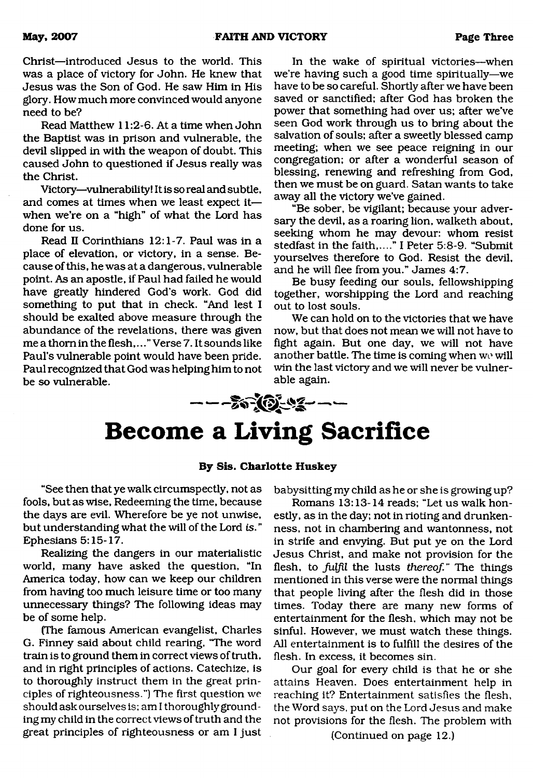Christ—introduced Jesus to the world. This was a place of victory for John. He knew that Jesus was the Son of God. He saw Him in His glory. How much more convinced would anyone need to be?

Read Matthew 11:2-6. At a time when John the Baptist was in prison and vulnerable, the devil slipped in with the weapon of doubt. This caused John to questioned if Jesus really was the Christ.

Victory—vulnerability! It is so real and subtle, and comes at times when we least expect it when we're on a "high" of what the Lord has done for us.

Read II Corinthians 12:1-7. Paul was in a place of elevation, or victory, in a sense. Because of this, he was at a dangerous, vulnerable point. As an apostle, if Paul had failed he would have greatly hindered God's work. God did something to put that in check. "And lest I should be exalted above measure through the abundance of the revelations, there was given me a thorn in the flesh,..." Verse 7. It sounds like Paul's vulnerable point would have been pride. Paul recognized that God was helping him to not be so vulnerable.

In the wake of spiritual victories—when we're having such a good time spiritually—we have to be so careful. Shortly after we have been saved or sanctified; after God has broken the power that something had over us; after we've seen God work through us to bring about the salvation of souls; after a sweetly blessed camp meeting; when we see peace reigning in our congregation; or after a wonderful season of blessing, renewing and refreshing from God, then we must be on guard. Satan wants to take away all the victory we've gained.

"Be sober, be vigilant; because your adversary the devil, as a roaring lion, walketh about, seeking whom he may devour: whom resist stedfast in the faith.... " I Peter 5:8-9. "Submit yourselves therefore to God. Resist the devil, and he will flee from you." James 4:7.

Be busy feeding our souls, fellowshipping together, worshipping the Lord and reaching out to lost souls.

We can hold on to the victories that we have now, but that does not mean we will not have to fight again. But one day, we will not have another battle. The time is coming when we will win the last victory and we will never be vulnerable again.

# ౼౼౼<del>ౣఄౢఄ౷</del>౼౺౾౼౼౼

## <span id="page-2-0"></span>**Become a Living Sacrifice**

#### **By Sis. Charlotte Huskey**

"See then that ye walk circumspectly, not as fools, but as wise, Redeeming the time, because the days are evil. Wherefore be ye not unwise, but understanding what the will of the Lord is. " Ephesians 5:15-17.

Realizing the dangers in our materialistic world, many have asked the question, "In America today, how can we keep our children from having too much leisure time or too many unnecessary things? The following ideas may be of some help.

(The famous American evangelist, Charles G. Finney said about child rearing, "The word train is to ground them in correct views of truth, and in right principles of actions. Catechize, is to thoroughly instruct them in the great principles of righteousness.") The first question we should ask ourselves is; am I thoroughly grounding my child in the correct views of truth and the great principles of righteousness or am I just babysitting my child as he or she is growing up?

Romans 13:13-14 reads; "Let us walk honestly, as in the day; not in rioting and drunkenness, not in chambering and wantonness, not in strife and envying. But put ye on the Lord Jesus Christ, and make not provision for the flesh, to *fulfil* the lusts *thereof.*" The things mentioned in this verse were the normal things that people living after the flesh did in those times. Today there are many new forms of entertainment for the flesh, which may not be sinful. However, we must watch these things. All entertainment is to fulfill the desires of the flesh. In excess, it becomes sin.

Our goal for every child is that he or she attains Heaven. Does entertainment help in reaching it? Entertainment satisfies the flesh, the Word says, put on the Lord Jesus and make not provisions for the flesh. The problem with (Continued on page 12.)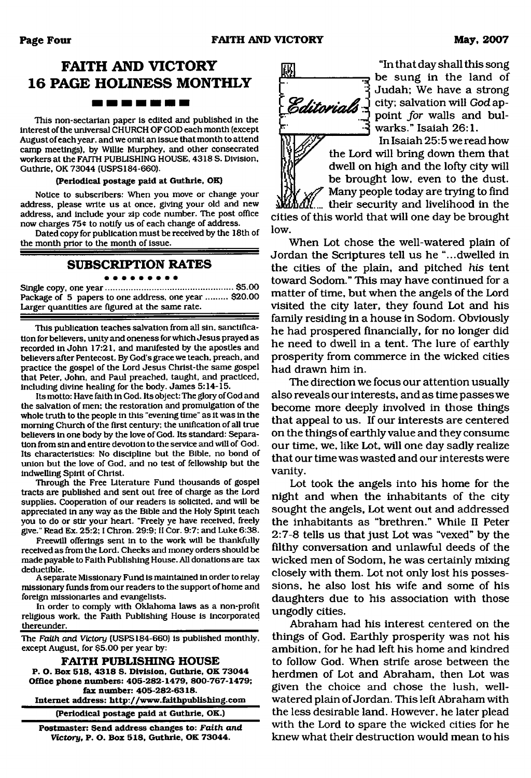### **FAITH AND VICTORY 16 PAGE HOLINESS MONTHLY** -------

This non-sectarian paper is edited and published in the interest of the universal CHURCH OF GOD each month (except August of each year, and we omit an issue that month to attend camp meetings), by Willie Murphey, and other consecrated workers at the FAITH PUBLISHING HOUSE, 4318 S. Division, Guthrie. OK 73044 (USPS184-660).

#### **(Periodical postage paid at Guthrie, OK)**

Notice to subscribers: When you move or change your address, please write us at once, giving your old and new address, and include your zip code number. The post office now charges 75¢ to notify us of each change of address.

Dated copy for publication must be received by the 18th of the month prior to the month of issue.

#### **SUBSCRIPTION RATES**

Single copy, one year......................................................\$5.00 Package of 5 papers to one address, one year ......... \$20.00 Larger quantities are figured at the same rate.

This publication teaches salvation from all sin, sanctification for believers, unity and oneness for which Jesus prayed as recorded in John 17:21, and manifested by the apostles and believers after Pentecost. By God's grace we teach, preach, and practice the gospel of the Lord Jesus Christ-the same gospel that Peter, John, and Paul preached, taught, and practiced, including divine healing for the body. James 5:14-15.

Its motto: Have faith in God. Its object: The glory of God and the salvation of men; the restoration and promulgation of the whole truth to the people in this "evening time" as it was in the morning Church of the first century; the unification of all true believers in one body by the love of God. Its standard: Separation from sin and entire devotion to the service and will of God. Its characteristics: No discipline but the Bible, no bond of union but the love of God, and no test of fellowship but the indwelling Spirit of Christ.

Through the Free Literature Fund thousands of gospel tracts are published and sent out free of charge as the Lord supplies. Cooperation of our readers is solicited, and will be appreciated in any way as the Bible and the Holy Spirit teach you to do or stir your heart. "Freely ye have received, freely give." Read Ex. 25:2; I Chron. 29:9; II Cor. 9:7; and Luke 6:38.

Freewill offerings sent in to the work will be thankfully received as from the Lord. Checks and money orders should be made payable to Faith Publishing House. All donations are tax deductible.

A separate Missionary Fund is maintained in order to relay missionary funds from our readers to the support of home and foreign missionaries and evangelists.

In order to comply with Oklahoma laws as a non-profit religious work, the Faith Publishing House is incorporated thereunder.

The *Faith and Victory* (USPS184-660) is published monthly, except August, for \$5.00 per year by:

**FAITH PUBLISHING HOUSE P. O. Box 518. 4318 S. Division. Guthrie, OK 73044 Office phone numbers: 405-282-1479, 800-767-1479; fax number: 405-282-6318. Internet address: <http://www.faithpublishing.com>**

**(Periodical postage paid at Guthrie, OK.)**

**Postmaster: Send address changes to:** *Faith and Victory,* **P. O. Box 518, Guthrie, OK 73044.**



"In that day shall this song be sung in the land of Judah; We have a strong city; salvation will *God* appoint for walls and bulwarks." Isaiah 26:1.

> In Isaiah 25:5 we read how the Lord will bring down them that dwell on high and the lofty city will be brought low, even to the dust. Many people today are trying to find

their security and livelihood in the cities of this world that will one day be brought low.

When Lot chose the well-watered plain of Jordan the Scriptures tell us he "...dwelled in the cities of the plain, and pitched *his* tent toward Sodom." This may have continued for a matter of time, but when the angels of the Lord visited the city later, they found Lot and his family residing in a house in Sodom. Obviously he had prospered financially, for no longer did he need to dwell in a tent. The lure of earthly prosperity from commerce in the wicked cities had drawn him in.

The direction we focus our attention usually also reveals our interests, and as time passes we become more deeply involved in those things that appeal to us. If our interests are centered on the things of earthly value and they consume our time, we, like Lot, will one day sadly realize that our time was wasted and our interests were vanity.

Lot took the angels into his home for the night and when the inhabitants of the city sought the angels, Lot went out and addressed the inhabitants as "brethren." While II Peter 2:7-8 tells us that just Lot was "vexed" by the filthy conversation and unlawful deeds of the wicked men of Sodom, he was certainly mixing closely with them. Lot not only lost his possessions, he also lost his wife and some of his daughters due to his association with those ungodly cities.

Abraham had his interest centered on the things of God. Earthly prosperity was not his ambition, for he had left his home and kindred to follow God. When strife arose between the herdmen of Lot and Abraham, then Lot was given the choice and chose the lush, wellwatered plain of Jordan. This left Abraham with the less desirable land. However, he later plead with the Lord to spare the wicked cities for he knew what their destruction would mean to his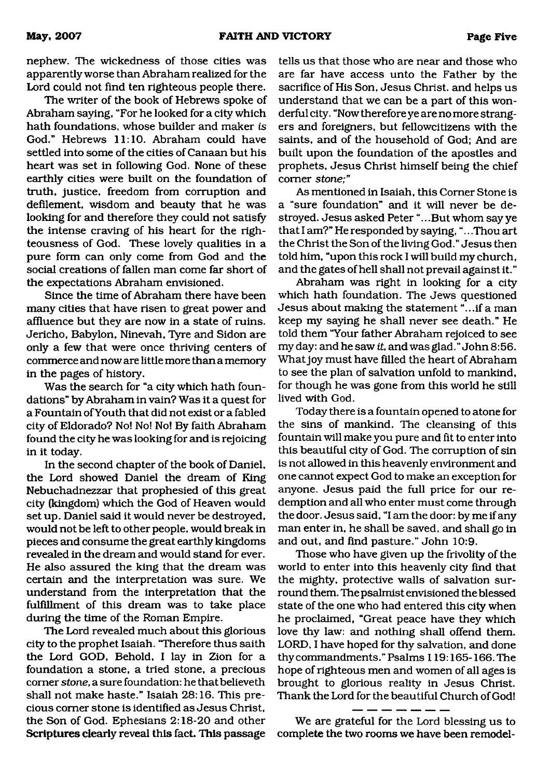nephew. The wickedness of those cities was apparently worse than Abraham realized for the Lord could not find ten righteous people there.

The writer of the book of Hebrews spoke of Abraham saying, "For he looked for a city which hath foundations, whose builder and maker *is* God." Hebrews 11:10. Abraham could have settled into some of the cities of Canaan but his heart was set in following God. None of these earthly cities were built on the foundation of truth, justice, freedom from corruption and defilement, wisdom and beauty that he was looking for and therefore they could not satisfy the intense craving of his heart for the righteousness of God. These lovely qualities in a pure form can only come from God and the social creations of fallen man come far short of the expectations Abraham envisioned.

Since the time of Abraham there have been many cities that have risen to great power and affluence but they are now in a state of ruins. Jericho, Babylon, Ninevah, Tyre and Sidon are only a few that were once thriving centers of commerce and now are little more than a memory in the pages of history.

Was the search for "a city which hath foundations" by Abraham in vain? Was it a quest for a Fountain of Youth that did not exist or a fabled city of Eldorado? No! No! No! By faith Abraham found the city he was looking for and is rejoicing in it today.

In the second chapter of the book of Daniel, the Lord showed Daniel the dream of King Nebuchadnezzar that prophesied of this great city (kingdom) which the God of Heaven would set up. Daniel said it would never be destroyed, would not be left to other people, would break in pieces and consume the great earthly kingdoms revealed in the dream and would stand for ever. He also assured the king that the dream was certain and the interpretation was sure. We understand from the interpretation that the fulfillment of this dream was to take place during the time of the Roman Empire.

The Lord revealed much about this glorious city to the prophet Isaiah. "Therefore thus saith the Lord GOD, Behold, I lay in Zion for a foundation a stone, a tried stone, a precious comer *stone*, a sure foundation: hethatbelieveth shall not make haste." Isaiah 28:16. This precious comer stone is identified as Jesus Christ, the Son of God. Ephesians 2:18-20 and other Scriptures clearly reveal this fact. This passage tells us that those who are near and those who are far have access unto the Father by the sacrifice of His Son, Jesus Christ, and helps us understand that we can be a part of this wonderful city. "Now therefore ye are no more strangers and foreigners, but fellowcitizens with the saints, and of the household of God; And are built upon the foundation of the apostles and prophets, Jesus Christ himself being the chief comer *stone;"*

As mentioned in Isaiah, this Corner Stone is a "sure foundation" and it will never be destroyed. Jesus asked Peter ".. .But whom say ye that I am?" He responded by saying, ".. .Thou art the Christ the Son of the living God." Jesus then told him, "upon this rock I will build my church, and the gates of hell shall not prevail against it."

Abraham was right in looking for a city which hath foundation. The Jews questioned Jesus about making the statement "...if a man keep my saying he shall never see death." He told them "Your father Abraham rejoiced to see my day: and he saw *it,* and was glad." John 8:56. What joy must have filled the heart of Abraham to see the plan of salvation unfold to mankind, for though he was gone from this world he still lived with God.

Today there is a fountain opened to atone for the sins of mankind. The cleansing of this fountain will make you pure and fit to enter into this beautiful city of God. The corruption of sin is not allowed in this heavenly environment and one cannot expect God to make an exception for anyone. Jesus paid the full price for our redemption and all who enter must come through the door. Jesus said, "I am the door: by me if any man enter in, he shall be saved, and shall go in and out, and find pasture." John 10:9.

Those who have given up the frivolity of the world to enter into this heavenly city find that the mighty, protective walls of salvation surround them. The psalmist envisioned the blessed state of the one who had entered this city when he proclaimed, "Great peace have they which love thy law: and nothing shall offend them. LORD, I have hoped for thy salvation, and done thy commandments." Psalms 119:165-166. The hope of righteous men and women of all ages is brought to glorious reality in Jesus Christ. Thank the Lord for the beautiful Church of God!

We are grateful for the Lord blessing us to complete the two rooms we have been remodel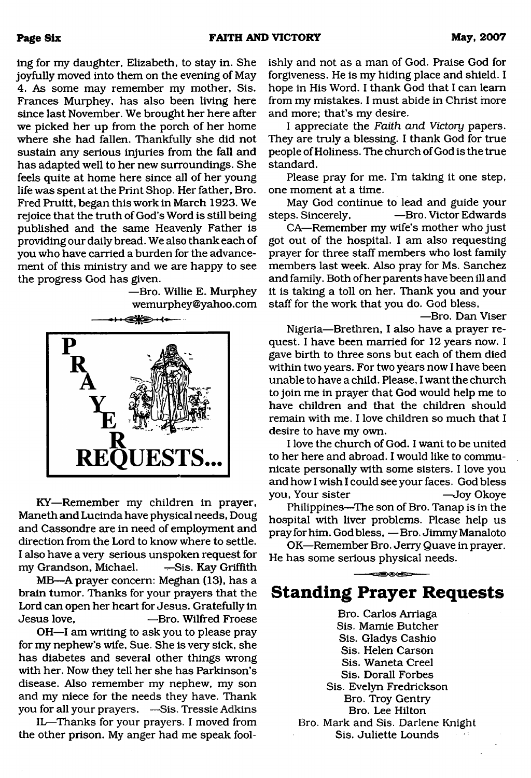ing for my daughter, Elizabeth, to stay in. She joyfully moved into them on the evening of May 4. As some may remember my mother. Sis. Frances Murphey, has also been living here since last November. We brought her here after we picked her up from the porch of her home where she had fallen. Thankfully she did not sustain any serious injuries from the fall and has adapted well to her new surroundings. She feels quite at home here since all of her young life was spent at the Print Shop. Her father, Bro. Fred Pruitt, began this work in March 1923. We rejoice that the truth of God's Word is still being published and the same Heavenly Father is providing our daily bread. We also thank each of you who have carried a burden for the advancement of this ministry and we are happy to see the progress God has given.

> —Bro. Willie E. Murphey [wemurphey@yahoo.com](mailto:wemurphey@yahoo.com)



KY—Remember my children in prayer, Maneth and Lucinda have physical needs, Doug and Cassondre are in need of employment and direction from the Lord to know where to settle. I also have a very serious unspoken request for my Grandson, Michael. —Sis. Kay Griffith

MB—A prayer concern: Meghan (13), has a brain tumor. Thanks for your prayers that the Lord can open her heart for Jesus. Gratefully in Jesus love, —Bro. Wilfred Froese

OH—I am writing to ask you to please pray for my nephew's wife, Sue. She is very sick, she has diabetes and several other things wrong with her. Now they tell her she has Parkinson's disease. Also remember my nephew, my son and my niece for the needs they have. Thank you for all your prayers, -Sis. Tressie Adkins

IL—Thanks for your prayers. I moved from the other prison. My anger had me speak foolishly and not as a man of God. Praise God for forgiveness. He is my hiding place and shield. I hope in His Word. I thank God that I can learn from my mistakes. I must abide in Christ more and more; that's my desire.

I appreciate the *Faith and Victory* papers. They are truly a blessing. I thank God for true people of Holiness. The church of God is the true standard.

Please pray for me. I'm taking it one step, one moment at a time.

May God continue to lead and guide your steps. Sincerely, —Bro. Victor Edwards

CA—Remember my wife's mother who just got out of the hospital. I am also requesting prayer for three staff members who lost family members last week. Also pray for Ms. Sanchez and family. Both of her parents have been ill and it is taking a toll on her. Thank you and your staff for the work that you do. God bless,

—Bro. Dan Viser

Nigeria—Brethren, I also have a prayer request. I have been married for 12 years now. I gave birth to three sons but each of them died within two years. For two years now I have been unable to have a child. Please, I want the church to join me in prayer that God would help me to have children and that the children should remain with me. I love children so much that I desire to have my own.

I love the church of God. I want to be united to her here and abroad. I would like to communicate personally with some sisters. I love you and how I wish I could see your faces. God bless you, Your sister —Joy Okoye

Philippines—The son of Bro. Tanap is in the hospital with liver problems. Please help us pray for him. God bless, — Bro. Jimmy Manaloto

OK—Remember Bro. Jerry Quave in prayer. He has some serious physical needs.

### **Standing Prayer Requests**

 $\equiv$ 

Bro. Carlos Arriaga Sis. Mamie Butcher Sis. Gladys Cashio Sis. Helen Carson Sis. Waneta Creel Sis. Dorall Forbes Sis. Evelyn Fredrickson Bro. Troy Gentry Bro. Lee Hilton Bro. Mark and Sis. Darlene Knight Sis. Juliette Lounds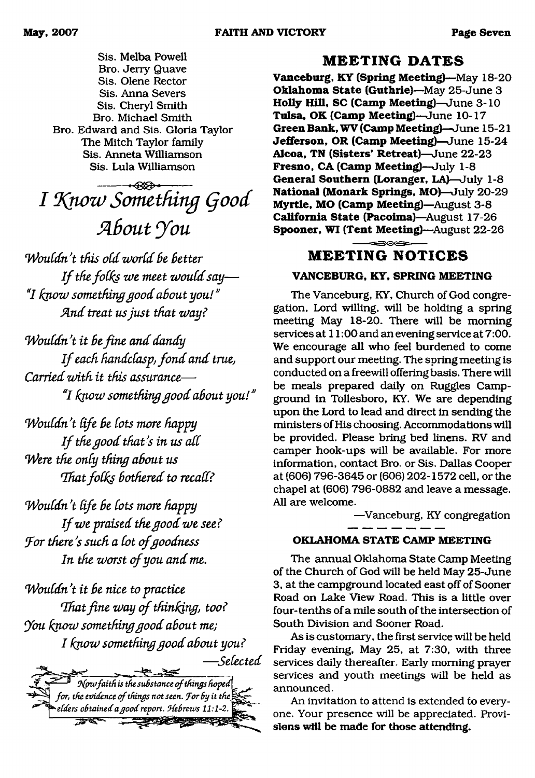Sis. Melba Powell Bro. Jerry Quave Sis. Olene Rector Sis. Anna Severs Sis. Cheryl Smith Bro. Michael Smith Bro. Edward and Sis. Gloria Taylor The Mitch Taylor family Sis. Anneta Williamson Sis. Lula Williamson

-------- ----------------- *I HQlozv Something (food Slbcnit you*

*W ou ld n 't this old w orld Be Better I f the folks we meet w ould say*— "I know something good about you!" And treat us just that way?

*Wouldn't it be fine and dandy If each handclasp, fond and true, Carried zaith it this assurance*— **7** *know something g o o d about you!"*

*Wouldn't life be lots more happy If the good that's in us all Were the only thing about us That folks bothered to recall?* 

*Wouldn't life be lots more happy If we praised the good we see? Jor there's such a lot of goodness* In the worst of you and me.

*Wouldn't it be nice to practice That fine way of thinking, too? You know something good about me; I know something good about you?* 



### **MEETING DATES**

**Vanceburg, KY (Spring Meeting)**—May 18-20 **Oklahoma State (Guthrie)**—May 25-June 3 **Holly Hill, SC (Camp Meeting)**—June 3-10 **Tulsa, OK (Camp Meeting)**—June 10-17 **Green Bank, WV (Camp Meeting)—**June 15-21 **Jefferson, OR (Camp Meeting)**—June 15-24 **Alcoa, TN (Sisters' Retreat)**—June 22-23 **Fresno, CA (Camp Meeting)**—July 1-8 **General Southern (Loranger, LA)**—July 1-8 **National (Monark Springs, MO)**—July 20-29 **Myrtle, MO (Camp Meeting)**—August 3-8 **California State (Pacoima)**—August 17-26 **Spooner, WI (Tent Meeting)**—August 22-26

### **MEETING NOTICES**

#### **VANCEBURG, KY, SPRING MEETING**

The Vanceburg, KY, Church of God congregation, Lord willing, will be holding a spring meeting May 18-20. There will be morning services at 11:00 and an evening service at 7:00. We encourage all who feel burdened to come and support our meeting. The spring meeting is conducted on a freewill offering basis. There will be meals prepared daily on Ruggles Campground in Tollesboro, KY. We are depending upon the Lord to lead and direct in sending the ministers of His choosing. Accommodations will be provided. Please bring bed linens. RV and camper hook-ups will be available. For more information, contact Bro. or Sis. Dallas Cooper at (606) 796-3645 or (606) 202-1572 cell, or the chapel at (606) 796-0882 and leave a message. All are welcome.

—Vanceburg, KY congregation

#### **OKLAHOMA STATE CAMP MEETING**

The annual Oklahoma State Camp Meeting of the Church of God will be held May 25-June 3, at the campground located east off of Sooner Road on Lake View Road. This is a little over four-tenths of a mile south of the intersection of South Division and Sooner Road.

As is customary, the first service will be held Friday evening, May 25, at 7:30, with three services daily thereafter. Early morning prayer services and youth meetings will be held as announced.

An invitation to attend is extended to everyone. Your presence will be appreciated. Provisions will be made for those attending.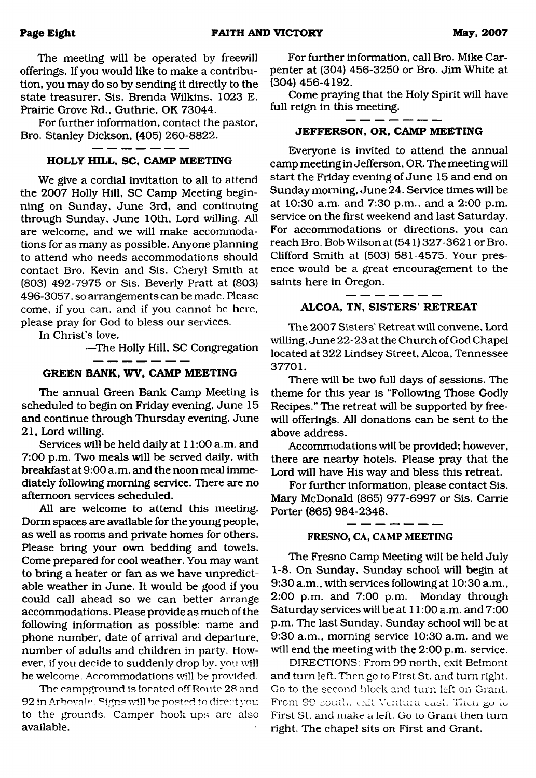**Page Eight FAITH AND VICTORY May, 2007**

The meeting will be operated by freewill offerings. If you would like to make a contribution, you may do so by sending it directly to the state treasurer. Sis. Brenda Wilkins, 1023 E. Prairie Grove Rd., Guthrie, OK 73044.

For further information, contact the pastor, Bro. Stanley Dickson, (405) 260-8822.

#### **HOLLY HILL, SC, CAMP MEETING**

We give a cordial invitation to all to attend the 2007 Holly Hill, SC Camp Meeting beginning on Sunday, June 3rd, and continuing through Sunday, June 10th, Lord willing. All are welcome, and we will make accommodations for as many as possible. Anyone planning to attend who needs accommodations should contact Bro. Kevin and Sis. Cheryl Smith at (803) 492-7975 or Sis. Beverly Pratt at (803) 496-3057, so arrangements can be made. Please come, if you can, and if you cannot be here, please pray for God to bless our services.

In Christ's love,

—The Holly Hill, SC Congregation

#### **GREEN BANK, WV, CAMP MEETING**

The annual Green Bank Camp Meeting is scheduled to begin on Friday evening, June 15 and continue through Thursday evening, June 21, Lord willing.

Services will be held daily at 11:00 a.m. and 7:00 p.m. Two meals will be served daily, with breakfast at 9:00 a.m. and the noon meal immediately following morning service. There are no afternoon services scheduled.

All are welcome to attend this meeting. Dorm spaces are available for the young people, as well as rooms and private homes for others. Please bring your own bedding and towels. Come prepared for cool weather. You may want to bring a heater or fan as we have unpredictable weather in June. It would be good if you could call ahead so we can better arrange accommodations. Please provide as much of the following information as possible: name and phone number, date of arrival and departure, number of adults and children in party. However, if you decide to suddenly drop by. you will be welcome. Accommodations will be provided.

The campground is located off Route 28 and 92 in Arbovale. Signs will be posted to direct you to the grounds. Camper hook-ups are also available.

For further information, call Bro. Mike Carpenter at (304) 456-3250 or Bro. Jim White at (304) 456-4192.

Come praying that the Holy Spirit will have full reign in this meeting.

#### **JEFFERSON, OR, CAMP MEETING**

Everyone is invited to attend the annual camp meeting in Jefferson, OR. The meeting will start the Friday evening of June 15 and end on Sunday morning, June 24. Service times will be at 10:30 a.m. and 7:30 p.m., and a 2:00 p.m. service on the first weekend and last Saturday. For accommodations or directions, you can reach Bro. Bob Wilson at (541) 327-3621 or Bro. Clifford Smith at (503) 581-4575. Your presence would be a great encouragement to the saints here in Oregon.

#### **ALCOA, TN, SISTERS' RETREAT**

The 2007 Sisters' Retreat will convene, Lord willing, June 22-23 at the Church of God Chapel located at 322 Lindsey Street, Alcoa, Tennessee 37701.

There will be two full days of sessions. The theme for this year is "Following Those Godly Recipes." The retreat will be supported by freewill offerings. All donations can be sent to the above address.

Accommodations will be provided; however, there are nearby hotels. Please pray that the Lord will have His way and bless this retreat.

For further information, please contact Sis. Mary McDonald (865) 977-6997 or Sis. Carrie Porter (865) 984-2348.

#### - - - - - -FRESNO, CA, CAMP MEETING

The Fresno Camp Meeting will be held July 1-8. On Sunday, Sunday school will begin at 9:30 a.m., with services following at 10:30 a.m., 2:00 p.m. and 7:00 p.m. Monday through Saturday services will be at 11:00 a.m. and 7:00 p.m. The last Sunday, Sunday school will be at 9:30 a.m., morning service 10:30 a.m. and we will end the meeting with the 2:00 p.m. service.

DIRECTIONS: From 99 north, exit Belmont and turn left. Then go to First St. and turn right. Go to the second block and turn left on Grant. From 99 south, exit Ventura cast. Then go to First St. and make a left. Go to Grant then turn right. The chapel sits on First and Grant.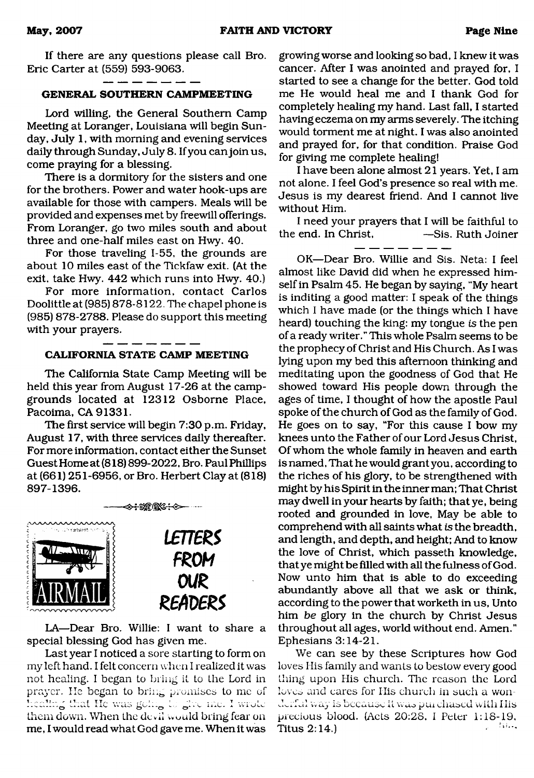If there are any questions please call Bro. Eric Carter at (559) 593-9063.

### **GENERAL SOUTHERN CAMPMEETING**

Lord willing, the General Southern Camp Meeting at Loranger, Louisiana will begin Sunday, July 1, with morning and evening services daily through Sunday, July 8. If you can join us, come praying for a blessing.

There is a dormitory for the sisters and one for the brothers. Power and water hook-ups are available for those with campers. Meals will be provided and expenses met by freewill offerings. From Loranger, go two miles south and about three and one-half miles east on Hwy. 40.

For those traveling 1-55, the grounds are about 10 miles east of the Tickfaw exit. (At the exit, take Hwy. 442 which runs into Hwy. 40.)

For more information, contact Carlos Doolittle at (985) 878-8122. The chapel phone is (985) 878-2788. Please do support this meeting with your prayers.

#### **CALIFORNIA STATE CAMP MEETING**

The California State Camp Meeting will be held this year from August 17-26 at the campgrounds located at 12312 Osborne Place, Pacoima, CA 91331.

The first service will begin 7:30 p.m. Friday, August 17, with three services daily thereafter. For more information, contact either the Sunset Guest Home at (818) 899-2022, Bro. Paul Phillips at (661) 251-6956, or Bro. Herbert Clay at (818) 897-1396.



LA—Dear Bro. Willie: I want to share a special blessing God has given me.

Last year I noticed a sore starting to form on my left hand. I felt concern when I realized it was not healing. I began to bring it to the Lord in prayer. He began to bring promises to me of healing that He was going to give me. I wrote them down. When the devil would bring fear on me, I would read what God gave me. When it was

growing worse and looking so bad, I knew it was cancer. After I was anointed and prayed for, I started to see a change for the better. God told me He would heal me and I thank God for completely healing my hand. Last fall, I started having eczema on my arms severely. The itching would torment me at night. I was also anointed and prayed for, for that condition. Praise God for giving me complete healing!

I have been alone almost 21 years. Yet, I am not alone. I feel God's presence so real with me. Jesus is my dearest friend. And I cannot live without Him.

I need your prayers that I will be faithful to the end. In Christ, —Sis. Ruth Joiner

OK—Dear Bro. Willie and Sis. Neta: I feel almost like David did when he expressed himself in Psalm 45. He began by saying, "My heart is inditing a good matter: I speak of the things which I have made (or the things which I have heard) touching the king: my tongue *is* the pen of a ready writer. " This whole Psalm seems to be the prophecy of Christ and His Church. As I was lying upon my bed this afternoon thinking and meditating upon the goodness of God that He showed toward His people down through the ages of time, I thought of how the apostle Paul spoke of the church of God as the family of God. He goes on to say, "For this cause I bow my knees unto the Father of our Lord Jesus Christ, Of whom the whole family in heaven and earth is named. That he would grant you, according to the riches of his glory, to be strengthened with might by his Spirit in the inner man; That Christ may dwell in your hearts by faith; that ye, being rooted and grounded in love, May be able to comprehend with all saints what *is* the breadth, and length, and depth, and height; And to know the love of Christ, which passeth knowledge, that ye might be filled with all the fulness of God. Now unto him that is able to do exceeding abundantly above all that we ask or think, according to the power that worketh in us, Unto him *be* glory in the church by Christ Jesus throughout all ages, world without end. Amen." Ephesians 3:14-21.

We can see by these Scriptures how God loves His family and wants to bestow every good thing upon His church. The reason the Lord loves and cares for His church in such a wonderful way is because it was purchased with His precious blood. (Acts 20:2S, I Peter 1:18-19, Titus  $2:14.$ )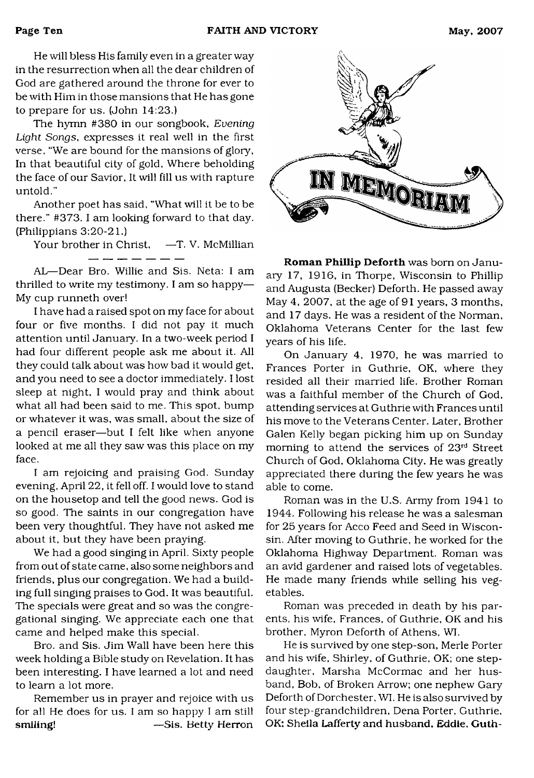He will bless His family even in a greater way in the resurrection when all the dear children of God are gathered around the throne for ever to be with Him in those mansions that He has gone to prepare for us. (John 14:23.)

The hymn #380 in our songbook, *Evening Light Songs*, expresses it real well in the first verse. "We are bound for the mansions of glory, In that beautiful city of gold, Where beholding the face of our Savior, It will fill us with rapture untold."

Another poet has said, "What will it be to be there." #373. I am looking forward to that day. (Philippians 3:20-21.)

Your brother in Christ, —T. V. McMillian

AL—Dear Bro. Willie and Sis. Neta: I am thrilled to write my testimony. I am so happy— My cup runneth over!

I have had a raised spot on my face for about four or five months. I did not pay it much attention until January. In a two-week period I had four different people ask me about it. All they could talk about was how bad it would get, and you need to see a doctor immediately. I lost sleep at night, I would pray and think about what all had been said to me. This spot, bump or whatever it was, was small, about the size of a pencil eraser—but I felt like when anyone looked at me all they saw was this place on my face.

I am rejoicing and praising God. Sunday evening, April 22, it fell off. I would love to stand on the housetop and tell the good news. God is so good. The saints in our congregation have been very thoughtful. They have not asked me about it, but they have been praying.

We had a good singing in April. Sixty people from out of state came, also some neighbors and friends, plus our congregation. We had a building full singing praises to God. It was beautiful. The specials were great and so was the congregational singing. We appreciate each one that came and helped make this special.

Bro. and Sis. Jim Wall have been here this week holding a Bible study on Revelation. It has been interesting. I have learned a lot and need to learn a lot more.

Remember us in prayer and rejoice with us for all He does for us. I am so happy I am still smiling! — Sis. Betty Herron



**Roman Phillip Deforth** was born on January 17, 1916, in Thorpe, Wisconsin to Phillip and Augusta (Becker) Deforth. He passed away May 4, 2007, at the age of 91 years, 3 months, and 17 days. He was a resident of the Norman, Oklahoma Veterans Center for the last few years of his life.

On January 4, 1970, he was married to Frances Porter in Guthrie, OK, where they resided all their married life. Brother Roman was a faithful member of the Church of God, attending services at Guthrie with Frances until his move to the Veterans Center. Later, Brother Galen Kelly began picking him up on Sunday morning to attend the services of 23rd Street Church of God, Oklahoma City. He was greatly appreciated there during the few years he was able to come.

Roman was in the U.S. Army from 1941 to 1944. Following his release he was a salesman for 25 years for Acco Feed and Seed in Wisconsin. After moving to Guthrie, he worked for the Oklahoma Highway Department. Roman was an avid gardener and raised lots of vegetables. He made many friends while selling his vegetables.

Roman was preceded in death by his parents, his wife, Frances, of Guthrie, OK and his brother, Myron Deforth of Athens, WI.

He is survived by one step-son, Merle Porter and his wife, Shirley, of Guthrie, OK; one stepdaughter, Marsha McCormac and her husband, Bob, of Broken Arrow; one nephew Gary Deforth of Dorchester, WI. He is also survived by four step-grandchildren, Dena Porter, Guthrie, OK: Sheila Lafferty and husband. Eddie. Guth-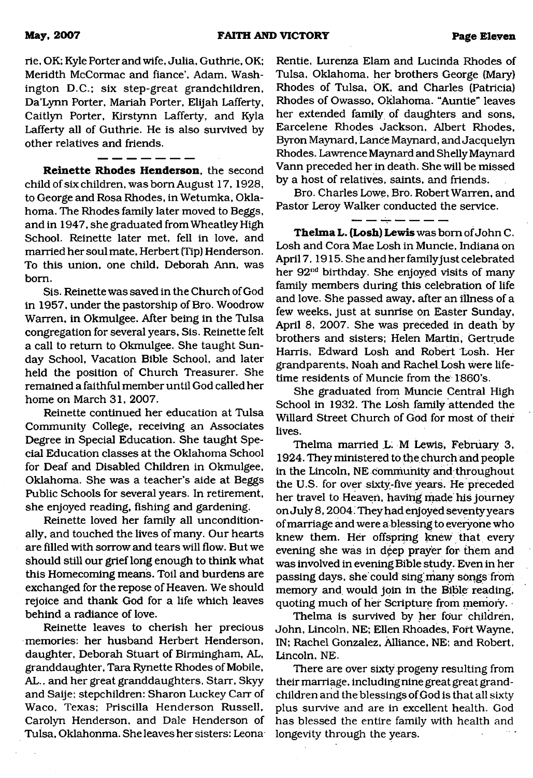rie, OK; Kyle Porter and wife, Julia, Guthrie, OK; Meridth McCormac and fiance', Adam, Washington D.C.; six step-great grandchildren, Da'Lynn Porter, Mariah Porter, Elijah Lafferty, Caitlyn Porter, Kirstynn Lafferty, and Kyla Lafferty all of Guthrie. He is also survived by other relatives and friends.

**Reinette Rhodes Henderson,** the second child of six children, was bom August 17,1928, to George and Rosa Rhodes, in Wetumka, Oklahoma. The Rhodes family later moved to Beggs, and in 1947, she graduated from Wheatley High School. Reinette later met, fell in love, and married her soul mate, Herbert (Tip) Henderson. To this union, one child, Deborah Ann, was bom.

Sis. Reinette was saved in the Church of God in 1957, under the pastorship of Bro. Woodrow Warren, in Okmulgee. After being in the Tulsa congregation for several years, Sis. Reinette felt a call to return to Okmulgee. She taught Sunday School, Vacation Bible School, and later held the position of Church Treasurer. She remained a faithful member until God called her home on March 31, 2007.

Reinette continued her education at Tulsa Community College, receiving an Associates Degree in Special Education. She taught Special Education classes at the Oklahoma School for Deaf and Disabled Children in Okmulgee, Oklahoma. She was a teacher's aide at Beggs Public Schools for several years. In retirement, she enjoyed reading, fishing and gardening.

Reinette loved her family all unconditionally, and touched the lives of many. Our hearts are filled with sorrow and tears will flow. But we should still our grief long enough to think what this Homecoming means. Toil and burdens are exchanged for the repose of Heaven. We should rejoice and thank God for a life which leaves behind a radiance of love.

Reinette leaves to cherish her precious memories: her husband Herbert Henderson, daughter, Deborah Stuart of Birmingham, AL, granddaughter, Tara Rynette Rhodes of Mobile, AL., and her great granddaughters, Starr, Skyy and Saije; stepchildren: Sharon Luckey Carr of Waco, Texas; Priscilla Henderson Russell, Carolyn Henderson, and Dale Henderson of Tulsa, Oklahonma. She leaves her sisters: Leona Rentie, Lurenza Elam and Lucinda Rhodes of Tulsa, Oklahoma, her brothers George (Mary) Rhodes of Tulsa, OK, and Charles (Patricia) Rhodes of Owasso, Oklahoma. "Auntie" leaves her extended family of daughters and sons, Earcelene Rhodes Jackson, Albert Rhodes, Byron Maynard, Lance Maynard, and Jacquelyn Rhodes. Lawrence Maynard and Shelly Maynard Vann preceded her in death. She will be missed by a host of relatives, saints, and friends.

Bro. Charles Lowe, Bro. Robert Warren, and Pastor Leroy Walker conducted the service.

**Thelma L. (Losh) Lewis** was bom of John C. Losh and Cora Mae Losh in Muncie, Indiana on April 7,1915. She and her family just celebrated her 92<sup>nd</sup> birthday. She enjoyed visits of many family members during this celebration of life and love. She passed away, after an illness of a few weeks, just at sunrise on Easter Sunday, April 8, 2007. She was preceded in death by brothers and sisters; Helen Martin, Gertrude Harris, Edward Losh and Robert Losh. Her grandparents, Noah and Rachel Losh were lifetime residents of Muncie from the 1860's.

She graduated from Muncie Central High School in 1932. The Losh family attended the Willard Street Church of God for most of their lives.

Thelma married L: M Lewis, February 3, 1924. They ministered to the church and people in the Lincoln, NE community and throughout the U.S. for over sixty-five years. He preceded her travel to Heaven, having made his journey on July 8,2004. They had enjoyed seventy years of marriage and were a blessing to everyone who knew them. Her offspring knew that every evening she was in deep prayer for them and was involved in evening Bible study. Even in her passing days, she could sing many songs frorri memory and would join in the Bible reading, quoting much of her Scripture from memory.

Thelma is survived by her four children, John, Lincoln, NE; Ellen Rhoades, Fort Wayne, IN; Rachel Gonzalez, Alliance, NE; and Robert, Lincoln, NE.

There are over sixty progeny resulting from their marriage, including nine great great grandchildren and the blessings of God is that all sixty plus survive and are in excellent health. God has blessed the entire family with health and longevity through the years.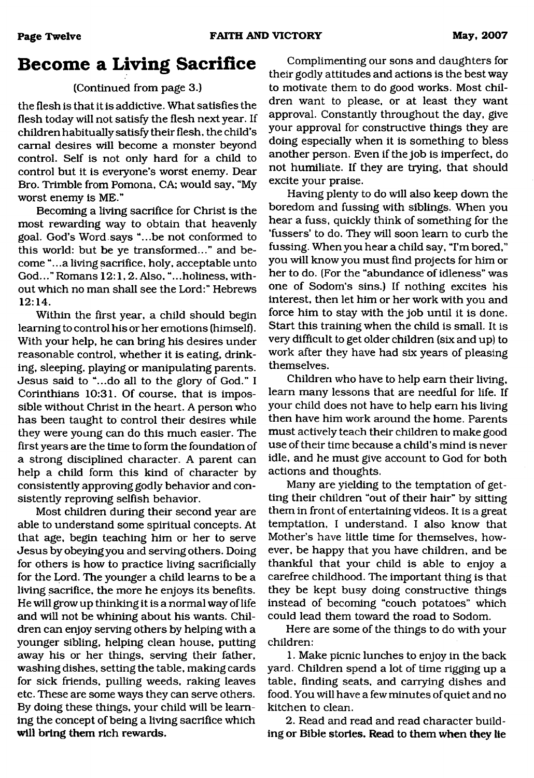## **Become a Living Sacrifice**

### (Continued from page 3.)

the flesh is that it is addictive. What satisfies the flesh today will not satisfy the flesh next year. If children habitually satisfy their flesh, the child's carnal desires will become a monster beyond control. Self is not only hard for a child to control but it is everyone's worst enemy. Dear Bro. Trimble from Pomona, CA; would say, "My worst enemy is ME."

Becoming a living sacrifice for Christ is the most rewarding way to obtain that heavenly goal. God's Word.says "...be not conformed to this world: but be ye transformed..." and become "...a living sacrifice, holy, acceptable unto God..." Romans 12:1,2. Also, "...holiness, without which no man shall see the Lord:" Hebrews 12:14.

Within the first year, a child should begin learning to control his or her emotions (himself). With your help, he can bring his desires under reasonable control, whether it is eating, drinking, sleeping, playing or manipulating parents. Jesus said to "...do all to the glory of God." I Corinthians 10:31. Of course, that is impossible without Christ in the heart. A person who has been taught to control their desires while they were young can do this much easier. The first years are the time to form the foundation of a strong disciplined character. A parent can help a child form this kind of character by consistently approving godly behavior and consistently reproving selfish behavior.

Most children during their second year are able to understand some spiritual concepts. At that age, begin teaching him or her to serve Jesus by obeying you and serving others. Doing for others is how to practice living sacrificially for the Lord. The younger a child learns to be a living sacrifice, the more he enjoys its benefits. He will grow up thinking it is a normal way of life and will not be whining about his wants. Children can enjoy serving others by helping with a younger sibling, helping clean house, putting away his or her things, serving their father, washing dishes, setting the table, making cards for sick friends, pulling weeds, raking leaves etc. These are some ways they can serve others. By doing these things, your child will be learning the concept of being a living sacrifice which will bring them rich rewards.

Complimenting our sons and daughters for their godly attitudes and actions is the best way to motivate them to do good works. Most children want to please, or at least they want approval. Constantly throughout the day, give your approval for constructive things they are doing especially when it is something to bless another person. Even if the job is imperfect, do not humiliate. If they are trying, that should excite your praise.

Having plenty to do will also keep down the boredom and fussing with siblings. When you hear a fuss, quickly think of something for the 'fussers' to do. They will soon learn to curb the fussing. When you hear a child say, "I'm bored," you will know you must find projects for him or her to do. (For the "abundance of idleness" was one of Sodom's sins.) If nothing excites his interest, then let him or her work with you and force him to stay with the job until it is done. Start this training when the child is small. It is very difficult to get older children (six and up) to work after they have had six years of pleasing themselves.

Children who have to help earn their living, learn many lessons that are needful for life. If your child does not have to help earn his living then have him work around the home. Parents must actively teach their children to make good use of their time because a child's mind is never idle, and he must give account to God for both actions and thoughts.

Many are yielding to the temptation of getting their children "out of their hair" by sitting them in front of entertaining videos. It is a great temptation, I understand. I also know that Mother's have little time for themselves, however, be happy that you have children, and be thankful that your child is able to enjoy a carefree childhood. The important thing is that they be kept busy doing constructive things instead of becoming "couch potatoes" which could lead them toward the road to Sodom.

Here are some of the things to do with your children:

1. Make picnic lunches to enjoy in the back yard. Children spend a lot of time rigging up a table, finding seats, and carrying dishes and food. You will have a few minutes of quiet and no kitchen to clean.

2. Read and read and read character building or Bible stories. Read to them when they lie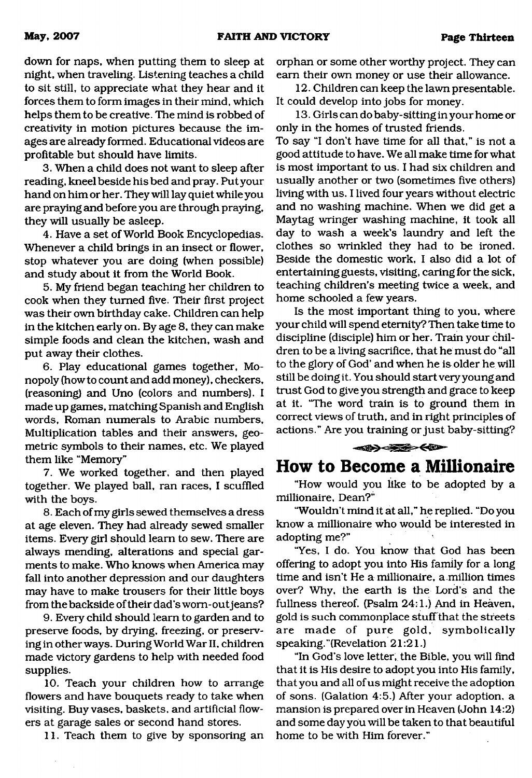down for naps, when putting them to sleep at night, when traveling. Listening teaches a child to sit still, to appreciate what they hear and it forces them to form images in their mind, which helps them to be creative. The mind is robbed of creativity in motion pictures because the images are already formed. Educational videos are profitable but should have limits.

3. When a child does not want to sleep after reading, kneel beside his bed and pray. Put your hand on him or her. They will lay quiet while you are praying and before you are through praying, they will usually be asleep.

4. Have a set of World Book Encyclopedias. Whenever a child brings in an insect or flower, stop whatever you are doing (when possible) and study about it from the World Book.

5. My friend began teaching her children to cook when they turned five. Their first project was their own birthday cake. Children can help in the kitchen early on. By age 8, they can make simple foods and clean the kitchen, wash and put away their clothes.

6. Play educational games together, Monopoly (how to count and add money), checkers, (reasoning) and Uno (colors and numbers). I made up games, matching Spanish and English words, Roman numerals to Arabic numbers, Multiplication tables and their answers, geometric symbols to their names, etc. We played them like "Memory"

7. We worked together, and then played together. We played ball, ran races, I scuffled with the boys.

8. Each of my girls sewed themselves a dress at age eleven. They had already sewed smaller items. Every girl should learn to sew. There are always mending, alterations and special garments to make. Who knows when America may fall into another depression and our daughters may have to make trousers for their little boys from the backside of their dad's wom-out jeans?

9. Every child should learn to garden and to preserve foods, by diying, freezing, or preserving in other ways. During World War II, children made victory gardens to help with needed food supplies.

10. Teach your children how to arrange flowers and have bouquets ready to take when visiting. Buy vases, baskets, and artificial flowers at garage sales or second hand stores.

11. Teach them to give by sponsoring an

orphan or some other worthy project. They can earn their own money or use their allowance.

12. Children can keep the lawn presentable. It could develop into jobs for money.

13. Girls can do baby-sitting in your home or only in the homes of trusted friends.

To say "I don't have time for all that," is not a good attitude to have. We all make time for what is most important to us. I had six children and usually another or two (sometimes five others) living with us. I lived four years without electric and no washing machine. When we did get a Maytag wringer washing machine, it took all day to wash a week's laundry and left the clothes so wrinkled they had to be ironed. Beside the domestic work, I also did a lot of entertaining guests, visiting, caring for the sick, teaching children's meeting twice a week, and home schooled a few years.

Is the most important thing to you, where your child will spend eternity? Then take time to discipline (disciple) him or her. Train your children to be a living sacrifice, that he must do "all to the glory of God' and when he is older he will still be doing it. You should startvery young and trust God to give you strength and grace to keep at it. "The word train is to ground them in correct views of truth, and in right principles of actions." Are you training or just baby-sitting?



### **How to Become a Millionaire**

"How would you like to be adopted by a millionaire, Dean?"

"Wouldn't mind it at all," he replied. "Do you know a millionaire who would be interested in adopting me?"

"Yes, I do. You know that God has been offering to adopt you into His family for a long time and isn't He a millionaire, a million times over? Why, the earth is the Lord's and the fullness thereof. (Psalm 24:1.) And in Heaven, gold is such commonplace stuff that the streets are made of pure gold, symbolically speaking.''(Revelation 21:21.)

"In God's love letter, the Bible, you will find that it is His desire to adopt you into His family, that you and all of us might receive the adoption of sons. (Galation 4:5.) After your adoption, a mansion is prepared over in Heaven (John 14:2) and some day you will be taken to that beautiful home to be with Him forever."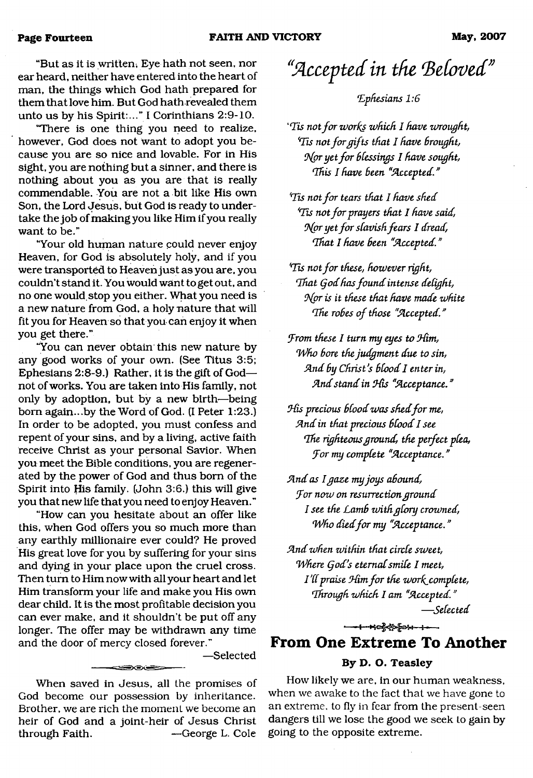"But as it is written, Eye hath not seen, nor ear heard, neither have entered into the heart of man, the things which God hath prepared for them that love him. But God hath revealed them unto us by his Spirit:..." I Corinthians 2:9-10.

"There is one thing you need to realize, however, God does not want to adopt you because you are so nice and lovable. For in His sight, you are nothing but a sinner, and there is nothing about you as you are that is really commendable. You are not a bit like His own Son, the Lord Jesus, but God is ready to undertake the job of making you like Him if you really want to be."

"Your old human nature could never enjoy Heaven, for God is absolutely holy, and if you were transported to Heaven just as you are, you couldn't stand it. You would want to get out, and no one would, stop you either. What you need is a new nature from God, a holy nature that will fit you for Heaven so that you can enjoy it when you get there."

"You can never obtain this new nature by any good works of your own. (See Titus 3:5; Ephesians 2:8-9.) Rather, it is the gift of God not of works. You are taken into His family, not only by adoption, but by a new birth—being bom again...by the Word of God. (I Peter 1:23.) In order to be adopted, you must confess and repent of your sins, and by a living, active faith receive Christ as your personal Savior. When you meet the Bible conditions, you are regenerated by the power of God and thus bom of the Spirit into His family. (John 3:6.) this will give you that new life that you need to enjoy Heaven."

"How can you hesitate about an offer like this, when God offers you so much more than any earthly millionaire ever could? He proved His great love for you by suffering for your sins and dying in your place upon the cruel cross. Then turn to Him now with all your heart and let Him transform your life and make you His own dear child. It is the most profitable decision you can ever make, and it shouldn't be put off any longer. The offer may be withdrawn any time and the door of mercy closed forever."

—Selected

When saved in Jesus, all the promises of God become our possession by inheritance. Brother, we are rich the moment we become an heir of God and a joint-heir of Jesus Christ through Faith. — George L. Cole

 $\equiv$   $\equiv$   $\equiv$ 

# <span id="page-13-0"></span>*"Accepted in the (Behovedv*

*1'Ephesians 1:6*

*'Tis not for works which I have wrought, tfIis not for gifts that I have Brought, 9{pr yet for BCessings 1 have sought, <Ihis I have Been "Accepted. "*

*tfTis not for tears that I have shed His not for prayers that I have said, Hpr yet for slavish fears I dread, Hhat I have Been "Accepted. "*

*His not for these, however right, That (jod has found intense delight, 9{or is it these that have made white 1The roBes of those "Accepted."*

*(from these I turn my eyes to (Him, Who Bore the judgment due to sin, And By Christ's Blood I enter in, And stand in (His "Acceptance."*

*His precious blood was shed for me, And in that precious Blood I see \*.The righteous ground, the perfect plea, for my complete "Acceptance."* 

*And as I gaze my joys abound, fo r now on resurrection ground I see the LarnB with glory crowned, Who died for my "Acceptance."* 

*And when within that circle sweet, Where (jod's eternal smile I meet, 1'll praise Him for the work complete, 'Through which I am "Accepted. "*

*— Selected*

## **From One Extreme To Another**

**੶੶੶**ਖ਼ਫ਼ਲ਼ਲ਼ਲ਼ਫ਼ਖ਼੶੶

#### **By D. O. Teasley**

How likely we are, in our human weakness, when we awake to the fact that we have gone to an extreme, to fly in fear from the present-seen dangers till we lose the good we seek to gain by going to the opposite extreme.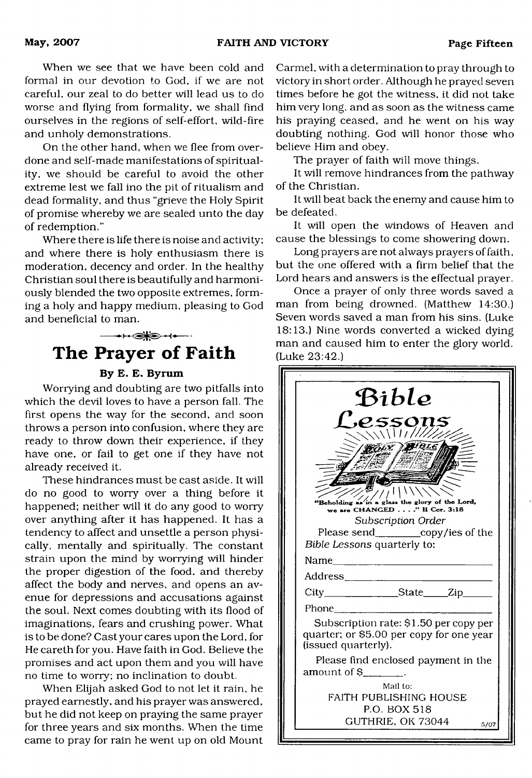When we see that we have been cold and formal in our devotion to God, if we are not careful, our zeal to do better will lead us to do worse and flying from formality, we shall find ourselves in the regions of self-effort, wild-fire and unholy demonstrations.

On the other hand, when we flee from overdone and self-made manifestations of spirituality, we should be careful to avoid the other extreme lest we fall ino the pit of ritualism and dead formality, and thus "grieve the Holy Spirit of promise whereby we are sealed unto the day of redemption."

Where there is life there is noise and activity; and where there is holy enthusiasm there is moderation, decency and order. In the healthy Christian soul there is beautifully and harmoniously blended the two opposite extremes, forming a holy and happy medium, pleasing to God and beneficial to man.

<span id="page-14-0"></span>

#### By E. E. Byrum

Worrying and doubting are two pitfalls into which the devil loves to have a person fall. The first opens the way for the second, and soon throws a person into confusion, where they are ready to throw down their experience, if they have one, or fail to get one if they have not already received it.

These hindrances must be cast aside. It will do no good to worry over a thing before it happened; neither will it do any good to worry over anything after it has happened. It has a tendency to affect and unsettle a person physically, mentally and spiritually. The constant strain upon the mind by worrying will hinder the proper digestion of the food, and thereby affect the body and nerves, and opens an avenue for depressions and accusations against the soul. Next comes doubting with its flood of imaginations, fears and crushing power. What is to be done? Cast your cares upon the Lord, for He careth for you. Have faith in God. Believe the promises and act upon them and you will have no time to worry; no inclination to doubt.

When Elijah asked God to not let it rain, he prayed earnestly, and his prayer was answered, but he did not keep on praying the same prayer for three years and six months. When the time came to pray for rain he went up on old Mount

Carmel, with a determination to pray through to victory in short order. Although he prayed seven times before he got the witness, it did not take him very long, and as soon as the witness came his praying ceased, and he went on his way doubting nothing. God will honor those who believe Him and obey.

The prayer of faith will move things.

It will remove hindrances from the pathway of the Christian.

It will beat back the enemy and cause him to be defeated.

It will open the windows of Heaven and cause the blessings to come showering down.

Long prayers are not always prayers of faith, but the one offered with a firm belief that the Lord hears and answers is the effectual prayer.

Once a prayer of only three words saved a man from being drowned. (Matthew 14:30.) Seven words saved a man from his sins. (Luke 18:13.) Nine words converted a wicked dying man and caused him to enter the glory world. (Luke 23:42.)

|                     | Bible                                                                              |  |
|---------------------|------------------------------------------------------------------------------------|--|
|                     | <i><b>P.5501</b></i><br>11/7                                                       |  |
|                     |                                                                                    |  |
|                     |                                                                                    |  |
|                     |                                                                                    |  |
| "Beholding as       | in a glass the glory of the Lord,                                                  |  |
|                     | we are CHANGED" II Cor. 3:18<br>Subscription Order                                 |  |
|                     | Please send___________copy/ies of the                                              |  |
|                     | Bible Lessons quarterly to:                                                        |  |
| Name                | <u> 1980 - Johann Barbara, martxa alemaniar a</u>                                  |  |
| Address_____        | the company of the company of the                                                  |  |
|                     | City_________________State_____Zip_                                                |  |
| Phone               |                                                                                    |  |
| (issued quarterly). | Subscription rate: \$1.50 per copy per<br>quarter; or \$5.00 per copy for one year |  |
| amount of School    | Please find enclosed payment in the                                                |  |
|                     | Mail to:<br>FAITH PUBLISHING HOUSE<br>P.O. BOX 518                                 |  |
|                     | GUTHRIE, OK 73044<br>5/07                                                          |  |
|                     |                                                                                    |  |